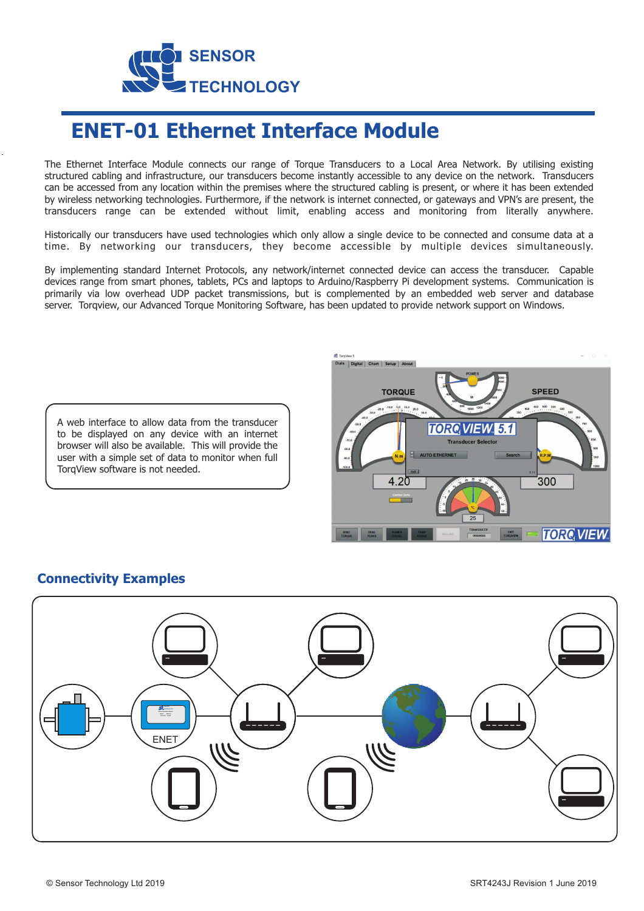

## **ENET-01 Ethernet Interface Module**

The Ethernet Interface Module connects our range of Torque Transducers to a Local Area Network. By utilising existing structured cabling and infrastructure, our transducers become instantly accessible to any device on the network. Transducers can be accessed from any location within the premises where the structured cabling is present, or where it has been extended by wireless networking technologies. Furthermore, if the network is internet connected, or gateways and VPN's are present, the transducers range can be extended without limit, enabling access and monitoring from literally anywhere.

Historically our transducers have used technologies which only allow a single device to be connected and consume data at a time. By networking our transducers, they become accessible by multiple devices simultaneously.

By implementing standard Internet Protocols, any network/internet connected device can access the transducer. Capable devices range from smart phones, tablets, PCs and laptops to Arduino/Raspberry Pi development systems. Communication is primarily via low overhead UDP packet transmissions, but is complemented by an embedded web server and database server. Torqview, our Advanced Torque Monitoring Software, has been updated to provide network support on Windows.

A web interface to allow data from the transducer to be displayed on any device with an internet browser will also be available. This will provide the user with a simple set of data to monitor when full TorqView software is not needed.



## **Connectivity Examples**